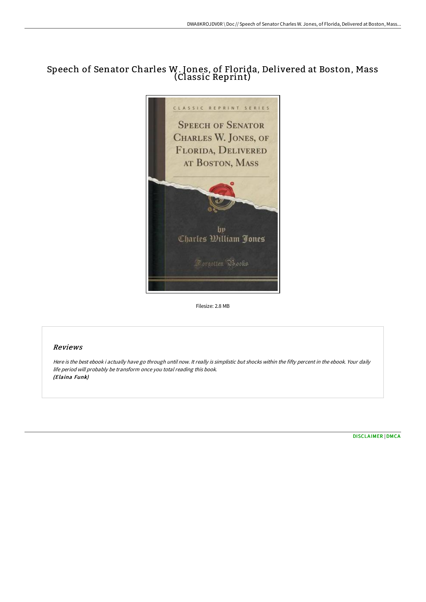# Speech of Senator Charles W. Jones, of Florida, Delivered at Boston, Mass (Classic Reprint)



Filesize: 2.8 MB

## Reviews

Here is the best ebook i actually have go through until now. It really is simplistic but shocks within the fifty percent in the ebook. Your daily life period will probably be transform once you total reading this book. (Elaina Funk)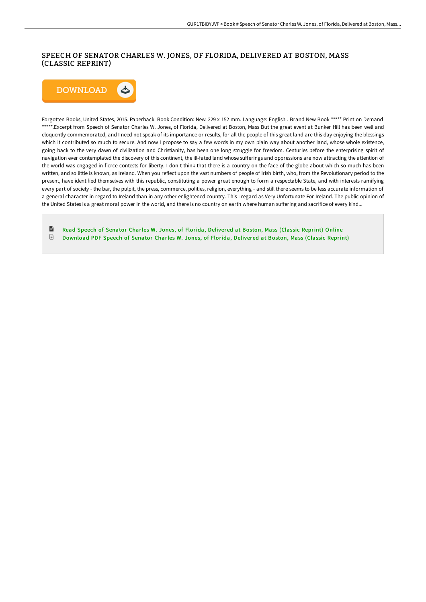## SPEECH OF SENATOR CHARLES W. JONES, OF FLORIDA, DELIVERED AT BOSTON, MASS (CLASSIC REPRINT)



Forgotten Books, United States, 2015. Paperback. Book Condition: New. 229 x 152 mm. Language: English . Brand New Book \*\*\*\*\* Print on Demand \*\*\*\*\*.Excerpt from Speech of Senator Charles W. Jones, of Florida, Delivered at Boston, Mass But the great event at Bunker Hill has been well and eloquently commemorated, and I need not speak of its importance or results, for all the people of this great land are this day enjoying the blessings which it contributed so much to secure. And now I propose to say a few words in my own plain way about another land, whose whole existence, going back to the very dawn of civilization and Christianity, has been one long struggle for freedom. Centuries before the enterprising spirit of navigation ever contemplated the discovery of this continent, the ill-fated land whose sufferings and oppressions are now attracting the attention of the world was engaged in fierce contests for liberty. I don t think that there is a country on the face of the globe about which so much has been written, and so little is known, as Ireland. When you reflect upon the vast numbers of people of Irish birth, who, from the Revolutionary period to the present, have identified themselves with this republic, constituting a power great enough to form a respectable State, and with interests ramifying every part of society - the bar, the pulpit, the press, commerce, polities, religion, everything - and still there seems to be less accurate information of a general character in regard to Ireland than in any other enlightened country. This I regard as Very Unfortunate For Ireland. The public opinion of the United States is a great moral power in the world, and there is no country on earth where human suffering and sacrifice of every kind...

目 Read Speech of Senator Charles W. Jones, of Florida, [Delivered](http://albedo.media/speech-of-senator-charles-w-jones-of-florida-del.html) at Boston, Mass (Classic Reprint) Online  $\ensuremath{\mathop\square}\xspace$ [Download](http://albedo.media/speech-of-senator-charles-w-jones-of-florida-del.html) PDF Speech of Senator Charles W. Jones, of Florida, Delivered at Boston, Mass (Classic Reprint)